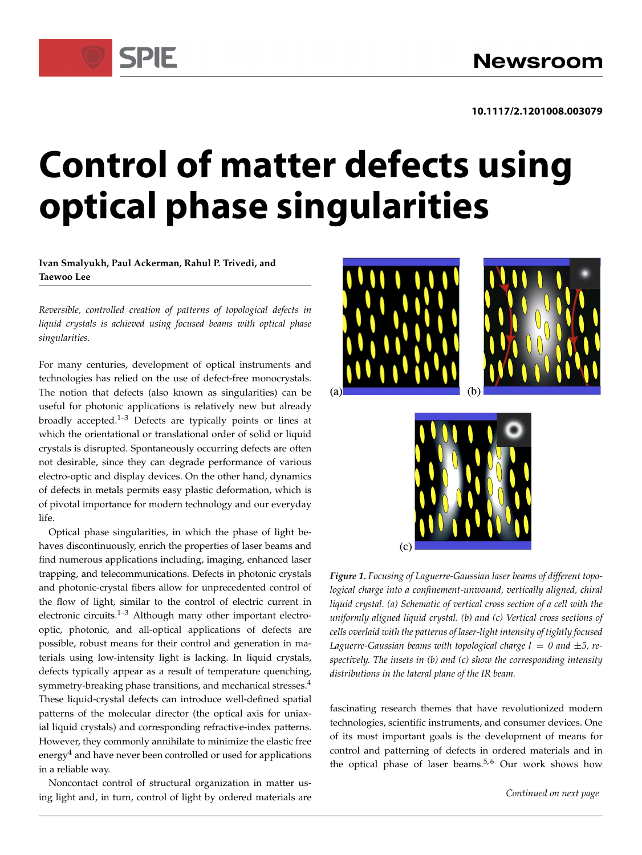# **Control of matter defects using optical phase singularities**

**Ivan Smalyukh, Paul Ackerman, Rahul P. Trivedi, and Taewoo Lee**

**SPIE** 

*Reversible, controlled creation of patterns of topological defects in liquid crystals is achieved using focused beams with optical phase singularities.*

For many centuries, development of optical instruments and technologies has relied on the use of defect-free monocrystals. The notion that defects (also known as singularities) can be useful for photonic applications is relatively new but already broadly accepted. $1-3$  Defects are typically points or lines at which the orientational or translational order of solid or liquid crystals is disrupted. Spontaneously occurring defects are often not desirable, since they can degrade performance of various electro-optic and display devices. On the other hand, dynamics of defects in metals permits easy plastic deformation, which is of pivotal importance for modern technology and our everyday life.

Optical phase singularities, in which the phase of light behaves discontinuously, enrich the properties of laser beams and find numerous applications including, imaging, enhanced laser trapping, and telecommunications. Defects in photonic crystals and photonic-crystal fibers allow for unprecedented control of the flow of light, similar to the control of electric current in electronic circuits. $1-3$  Although many other important electrooptic, photonic, and all-optical applications of defects are possible, robust means for their control and generation in materials using low-intensity light is lacking. In liquid crystals, defects typically appear as a result of temperature quenching, symmetry-breaking phase transitions, and mechanical stresses.<sup>4</sup> These liquid-crystal defects can introduce well-defined spatial patterns of the molecular director (the optical axis for uniaxial liquid crystals) and corresponding refractive-index patterns. However, they commonly annihilate to minimize the elastic free energy<sup>4</sup> and have never been controlled or used for applications in a reliable way.

Noncontact control of structural organization in matter using light and, in turn, control of light by ordered materials are





*Figure 1. Focusing of Laguerre-Gaussian laser beams of different topological charge into a confinement-unwound, vertically aligned, chiral liquid crystal. (a) Schematic of vertical cross section of a cell with the uniformly aligned liquid crystal. (b) and (c) Vertical cross sections of cells overlaid with the patterns of laser-light intensity of tightly focused Laguerre-Gaussian beams with topological charge*  $l = 0$  *and*  $\pm 5$ *, respectively. The insets in (b) and (c) show the corresponding intensity distributions in the lateral plane of the IR beam.*

fascinating research themes that have revolutionized modern technologies, scientific instruments, and consumer devices. One of its most important goals is the development of means for control and patterning of defects in ordered materials and in the optical phase of laser beams.<sup>5,6</sup> Our work shows how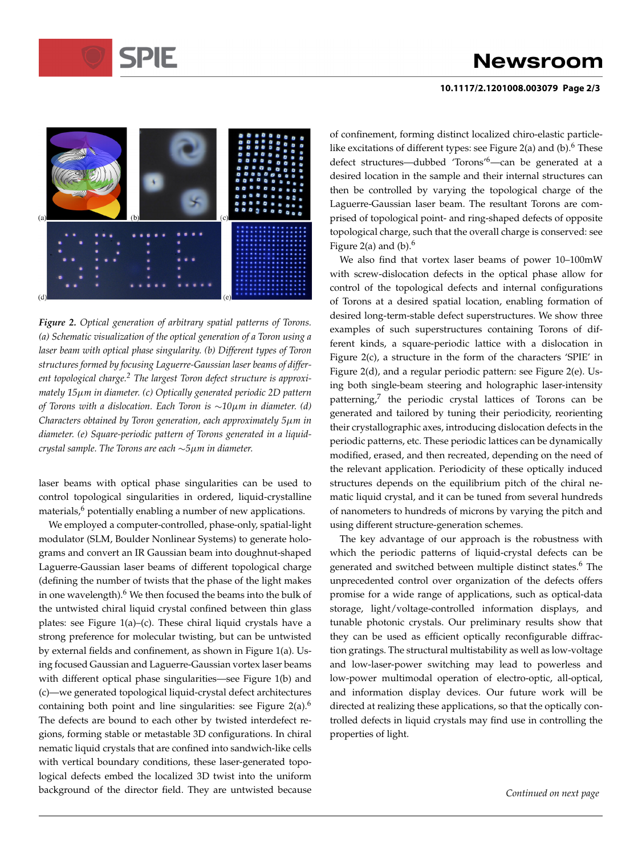# **Newsroom**

### **10.1117/2.1201008.003079 Page 2/3**



*Figure 2. Optical generation of arbitrary spatial patterns of Torons. (a) Schematic visualization of the optical generation of a Toron using a laser beam with optical phase singularity. (b) Different types of Toron structures formed by focusing Laguerre-Gaussian laser beams of different topological charge.<sup>2</sup> The largest Toron defect structure is approximately 15m in diameter. (c) Optically generated periodic 2D pattern of Torons with a dislocation. Each Toron is 10m in diameter. (d) Characters obtained by Toron generation, each approximately 5m in diameter. (e) Square-periodic pattern of Torons generated in a liquidcrystal sample. The Torons are each*  $\sim$  5 $\mu$ *m in diameter.* 

laser beams with optical phase singularities can be used to control topological singularities in ordered, liquid-crystalline materials,<sup>6</sup> potentially enabling a number of new applications.

We employed a computer-controlled, phase-only, spatial-light modulator (SLM, Boulder Nonlinear Systems) to generate holograms and convert an IR Gaussian beam into doughnut-shaped Laguerre-Gaussian laser beams of different topological charge (defining the number of twists that the phase of the light makes in one wavelength).<sup>6</sup> We then focused the beams into the bulk of the untwisted chiral liquid crystal confined between thin glass plates: see Figure 1(a)–(c). These chiral liquid crystals have a strong preference for molecular twisting, but can be untwisted by external fields and confinement, as shown in Figure 1(a). Using focused Gaussian and Laguerre-Gaussian vortex laser beams with different optical phase singularities—see Figure 1(b) and (c)—we generated topological liquid-crystal defect architectures containing both point and line singularities: see Figure  $2(a)$ .<sup>6</sup> The defects are bound to each other by twisted interdefect regions, forming stable or metastable 3D configurations. In chiral nematic liquid crystals that are confined into sandwich-like cells with vertical boundary conditions, these laser-generated topological defects embed the localized 3D twist into the uniform background of the director field. They are untwisted because

of confinement, forming distinct localized chiro-elastic particlelike excitations of different types: see Figure 2(a) and (b).<sup>6</sup> These defect structures—dubbed 'Torons'6—can be generated at a desired location in the sample and their internal structures can then be controlled by varying the topological charge of the Laguerre-Gaussian laser beam. The resultant Torons are comprised of topological point- and ring-shaped defects of opposite topological charge, such that the overall charge is conserved: see Figure 2(a) and  $(b)$ .<sup>6</sup>

We also find that vortex laser beams of power 10–100mW with screw-dislocation defects in the optical phase allow for control of the topological defects and internal configurations of Torons at a desired spatial location, enabling formation of desired long-term-stable defect superstructures. We show three examples of such superstructures containing Torons of different kinds, a square-periodic lattice with a dislocation in Figure 2(c), a structure in the form of the characters 'SPIE' in Figure 2(d), and a regular periodic pattern: see Figure 2(e). Using both single-beam steering and holographic laser-intensity patterning,<sup>7</sup> the periodic crystal lattices of Torons can be generated and tailored by tuning their periodicity, reorienting their crystallographic axes, introducing dislocation defects in the periodic patterns, etc. These periodic lattices can be dynamically modified, erased, and then recreated, depending on the need of the relevant application. Periodicity of these optically induced structures depends on the equilibrium pitch of the chiral nematic liquid crystal, and it can be tuned from several hundreds of nanometers to hundreds of microns by varying the pitch and using different structure-generation schemes.

The key advantage of our approach is the robustness with which the periodic patterns of liquid-crystal defects can be generated and switched between multiple distinct states.<sup>6</sup> The unprecedented control over organization of the defects offers promise for a wide range of applications, such as optical-data storage, light/voltage-controlled information displays, and tunable photonic crystals. Our preliminary results show that they can be used as efficient optically reconfigurable diffraction gratings. The structural multistability as well as low-voltage and low-laser-power switching may lead to powerless and low-power multimodal operation of electro-optic, all-optical, and information display devices. Our future work will be directed at realizing these applications, so that the optically controlled defects in liquid crystals may find use in controlling the properties of light.